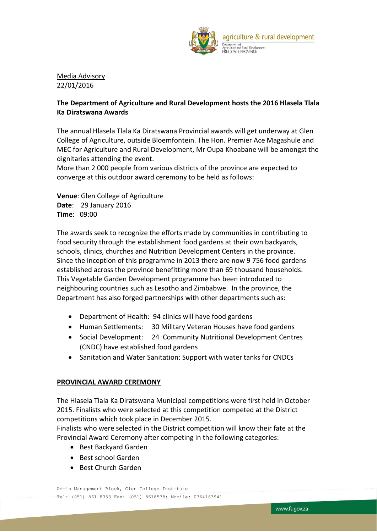

Media Advisory 22/01/2016

## **The Department of Agriculture and Rural Development hosts the 2016 Hlasela Tlala Ka Diratswana Awards**

The annual Hlasela Tlala Ka Diratswana Provincial awards will get underway at Glen College of Agriculture, outside Bloemfontein. The Hon. Premier Ace Magashule and MEC for Agriculture and Rural Development, Mr Oupa Khoabane will be amongst the dignitaries attending the event.

More than 2 000 people from various districts of the province are expected to converge at this outdoor award ceremony to be held as follows:

**Venue**: Glen College of Agriculture **Date**: 29 January 2016 **Time**: 09:00

The awards seek to recognize the efforts made by communities in contributing to food security through the establishment food gardens at their own backyards, schools, clinics, churches and Nutrition Development Centers in the province. Since the inception of this programme in 2013 there are now 9 756 food gardens established across the province benefitting more than 69 thousand households. This Vegetable Garden Development programme has been introduced to neighbouring countries such as Lesotho and Zimbabwe. In the province, the Department has also forged partnerships with other departments such as:

- Department of Health: 94 clinics will have food gardens
- Human Settlements: 30 Military Veteran Houses have food gardens
- Social Development: 24 Community Nutritional Development Centres (CNDC) have established food gardens
- Sanitation and Water Sanitation: Support with water tanks for CNDCs

## **PROVINCIAL AWARD CEREMONY**

The Hlasela Tlala Ka Diratswana Municipal competitions were first held in October 2015. Finalists who were selected at this competition competed at the District competitions which took place in December 2015.

Finalists who were selected in the District competition will know their fate at the Provincial Award Ceremony after competing in the following categories:

- Best Backyard Garden
- Best school Garden
- Best Church Garden

Admin Management Block, Glen College Institute Tel: (051) 861 8353 Fax: (051) 8618578; Mobile: 0764163941